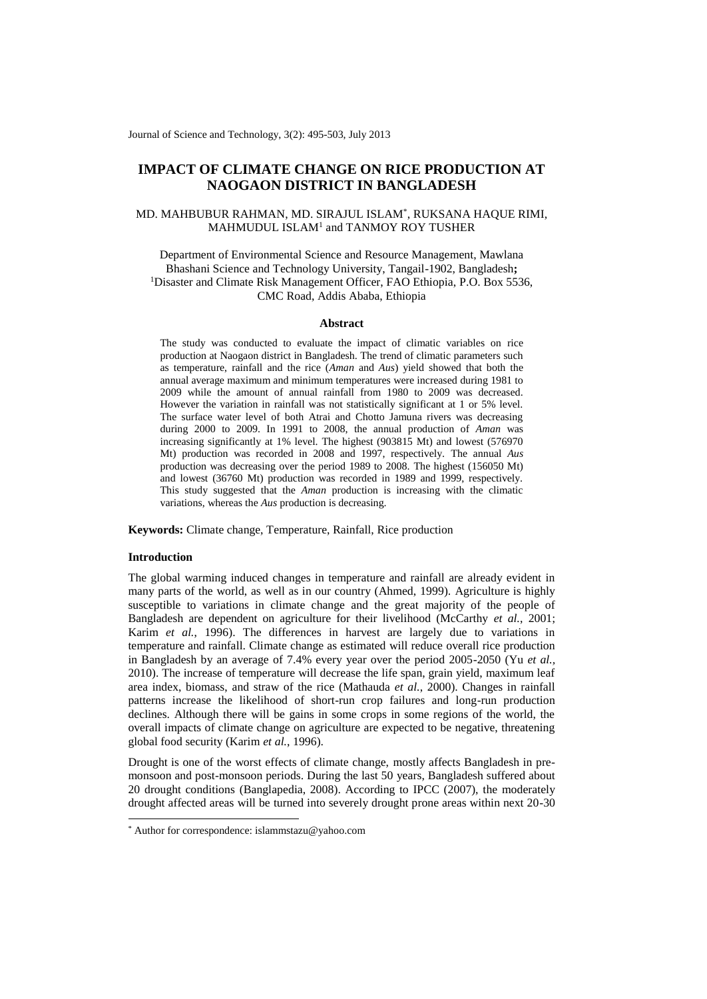Journal of Science and Technology, 3(2): 495-503, July 2013

# **IMPACT OF CLIMATE CHANGE ON RICE PRODUCTION AT NAOGAON DISTRICT IN BANGLADESH**

# MD. MAHBUBUR RAHMAN, MD. SIRAJUL ISLAM\* , RUKSANA HAQUE RIMI, MAHMUDUL ISLAM<sup>1</sup> and TANMOY ROY TUSHER

Department of Environmental Science and Resource Management, Mawlana Bhashani Science and Technology University, Tangail-1902, Bangladesh**;**  <sup>1</sup>Disaster and Climate Risk Management Officer, FAO Ethiopia, P.O. Box 5536, CMC Road, Addis Ababa, Ethiopia

### **Abstract**

The study was conducted to evaluate the impact of climatic variables on rice production at Naogaon district in Bangladesh. The trend of climatic parameters such as temperature, rainfall and the rice (*Aman* and *Aus*) yield showed that both the annual average maximum and minimum temperatures were increased during 1981 to 2009 while the amount of annual rainfall from 1980 to 2009 was decreased. However the variation in rainfall was not statistically significant at 1 or 5% level. The surface water level of both Atrai and Chotto Jamuna rivers was decreasing during 2000 to 2009. In 1991 to 2008, the annual production of *Aman* was increasing significantly at 1% level. The highest (903815 Mt) and lowest (576970 Mt) production was recorded in 2008 and 1997, respectively. The annual *Aus* production was decreasing over the period 1989 to 2008. The highest (156050 Mt) and lowest (36760 Mt) production was recorded in 1989 and 1999, respectively. This study suggested that the *Aman* production is increasing with the climatic variations, whereas the *Aus* production is decreasing.

**Keywords:** Climate change, Temperature, Rainfall, Rice production

### **Introduction**

1

The global warming induced changes in temperature and rainfall are already evident in many parts of the world, as well as in our country (Ahmed, 1999). Agriculture is highly susceptible to variations in climate change and the great majority of the people of Bangladesh are dependent on agriculture for their livelihood (McCarthy *et al.*, 2001; Karim *et al.*, 1996). The differences in harvest are largely due to variations in temperature and rainfall. Climate change as estimated will reduce overall rice production in Bangladesh by an average of 7.4% every year over the period 2005-2050 (Yu *et al.,*  2010). The increase of temperature will decrease the life span, grain yield, maximum leaf area index, biomass, and straw of the rice (Mathauda *et al.*, 2000). Changes in rainfall patterns increase the likelihood of short-run crop failures and long-run production declines. Although there will be gains in some crops in some regions of the world, the overall impacts of climate change on agriculture are expected to be negative, threatening global food security (Karim *et al.*, 1996).

Drought is one of the worst effects of climate change, mostly affects Bangladesh in premonsoon and post-monsoon periods. During the last 50 years, Bangladesh suffered about 20 drought conditions (Banglapedia, 2008). According to IPCC (2007), the moderately drought affected areas will be turned into severely drought prone areas within next 20-30

<sup>\*</sup> Author for correspondence: islammstazu@yahoo.com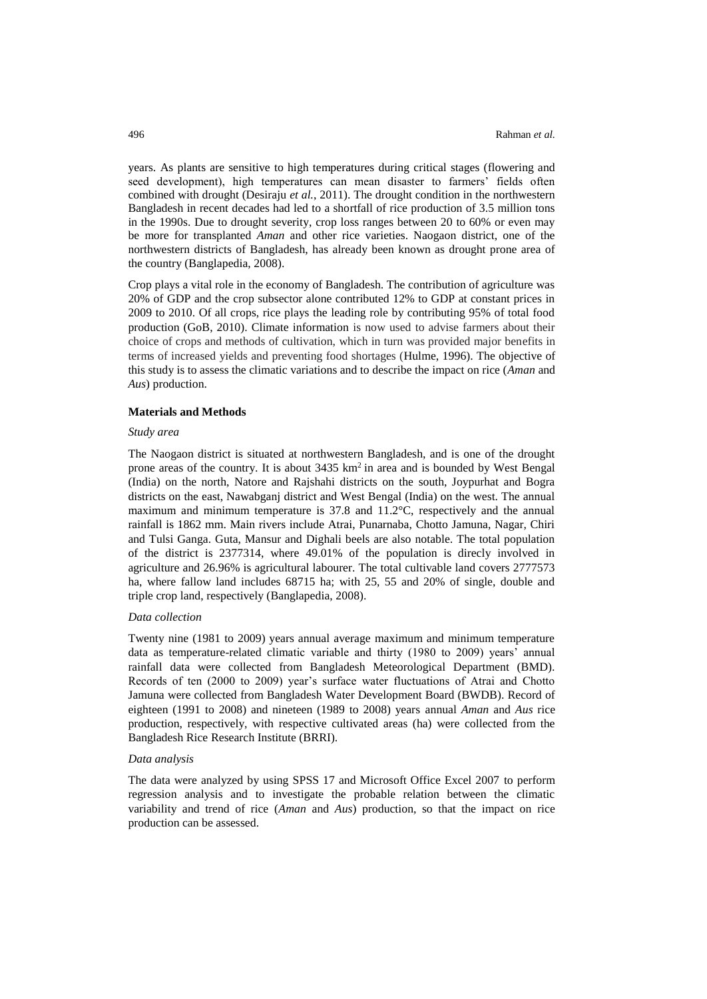years. As plants are sensitive to high temperatures during critical stages (flowering and seed development), high temperatures can mean disaster to farmers' fields often combined with drought (Desiraju *et al.*, 2011). The drought condition in the northwestern Bangladesh in recent decades had led to a shortfall of rice production of 3.5 million tons in the 1990s. Due to drought severity, crop loss ranges between 20 to 60% or even may be more for transplanted *Aman* and other rice varieties. Naogaon district, one of the northwestern districts of Bangladesh, has already been known as drought prone area of the country (Banglapedia, 2008).

Crop plays a vital role in the economy of Bangladesh. The contribution of agriculture was 20% of GDP and the crop subsector alone contributed 12% to GDP at constant prices in 2009 to 2010. Of all crops, rice plays the leading role by contributing 95% of total food production (GoB, 2010). Climate information is now used to advise farmers about their choice of crops and methods of cultivation, which in turn was provided major benefits in terms of increased yields and preventing food shortages (Hulme, 1996). The objective of this study is to assess the climatic variations and to describe the impact on rice (*Aman* and *Aus*) production.

#### **Materials and Methods**

#### *Study area*

The Naogaon district is situated at northwestern Bangladesh, and is one of the drought prone areas of the country. It is about  $3435 \text{ km}^2$  in area and is bounded by West Bengal (India) on the north, Natore and Rajshahi districts on the south, Joypurhat and Bogra districts on the east, Nawabganj district and West Bengal (India) on the west. The annual maximum and minimum temperature is 37.8 and 11.2°C, respectively and the annual rainfall is 1862 mm. Main rivers include Atrai, Punarnaba, Chotto Jamuna, Nagar, Chiri and Tulsi Ganga. Guta, Mansur and Dighali beels are also notable. The total population of the district is 2377314, where 49.01% of the population is direcly involved in agriculture and 26.96% is agricultural labourer. The total cultivable land covers 2777573 ha, where fallow land includes 68715 ha; with 25, 55 and 20% of single, double and triple crop land, respectively (Banglapedia, 2008).

#### *Data collection*

Twenty nine (1981 to 2009) years annual average maximum and minimum temperature data as temperature-related climatic variable and thirty (1980 to 2009) years' annual rainfall data were collected from Bangladesh Meteorological Department (BMD). Records of ten (2000 to 2009) year's surface water fluctuations of Atrai and Chotto Jamuna were collected from Bangladesh Water Development Board (BWDB). Record of eighteen (1991 to 2008) and nineteen (1989 to 2008) years annual *Aman* and *Aus* rice production, respectively, with respective cultivated areas (ha) were collected from the Bangladesh Rice Research Institute (BRRI).

#### *Data analysis*

The data were analyzed by using SPSS 17 and Microsoft Office Excel 2007 to perform regression analysis and to investigate the probable relation between the climatic variability and trend of rice (*Aman* and *Aus*) production, so that the impact on rice production can be assessed.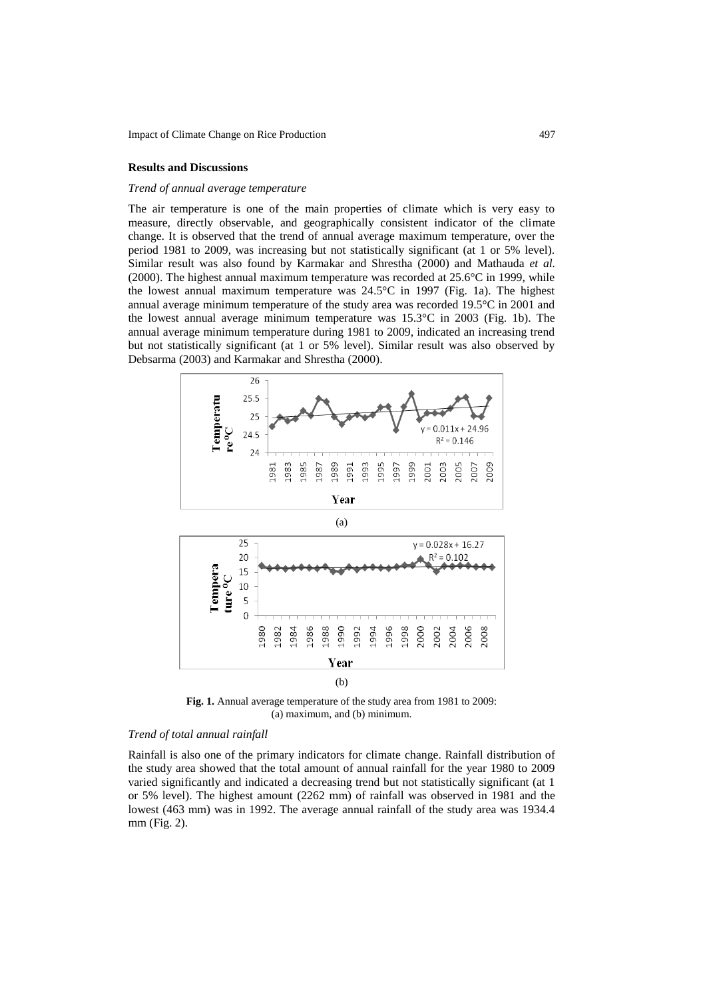### **Results and Discussions**

#### *Trend of annual average temperature*

The air temperature is one of the main properties of climate which is very easy to measure, directly observable, and geographically consistent indicator of the climate change. It is observed that the trend of annual average maximum temperature, over the period 1981 to 2009, was increasing but not statistically significant (at 1 or 5% level). Similar result was also found by Karmakar and Shrestha (2000) and Mathauda *et al.* (2000). The highest annual maximum temperature was recorded at 25.6°C in 1999, while the lowest annual maximum temperature was 24.5°C in 1997 (Fig. 1a). The highest annual average minimum temperature of the study area was recorded 19.5°C in 2001 and the lowest annual average minimum temperature was 15.3°C in 2003 (Fig. 1b). The annual average minimum temperature during 1981 to 2009, indicated an increasing trend but not statistically significant (at 1 or 5% level). Similar result was also observed by Debsarma (2003) and Karmakar and Shrestha (2000).



**Fig. 1.** Annual average temperature of the study area from 1981 to 2009: (a) maximum, and (b) minimum.

### *Trend of total annual rainfall*

Rainfall is also one of the primary indicators for climate change. Rainfall distribution of the study area showed that the total amount of annual rainfall for the year 1980 to 2009 varied significantly and indicated a decreasing trend but not statistically significant (at 1 or 5% level). The highest amount (2262 mm) of rainfall was observed in 1981 and the lowest (463 mm) was in 1992. The average annual rainfall of the study area was 1934.4 mm (Fig. 2).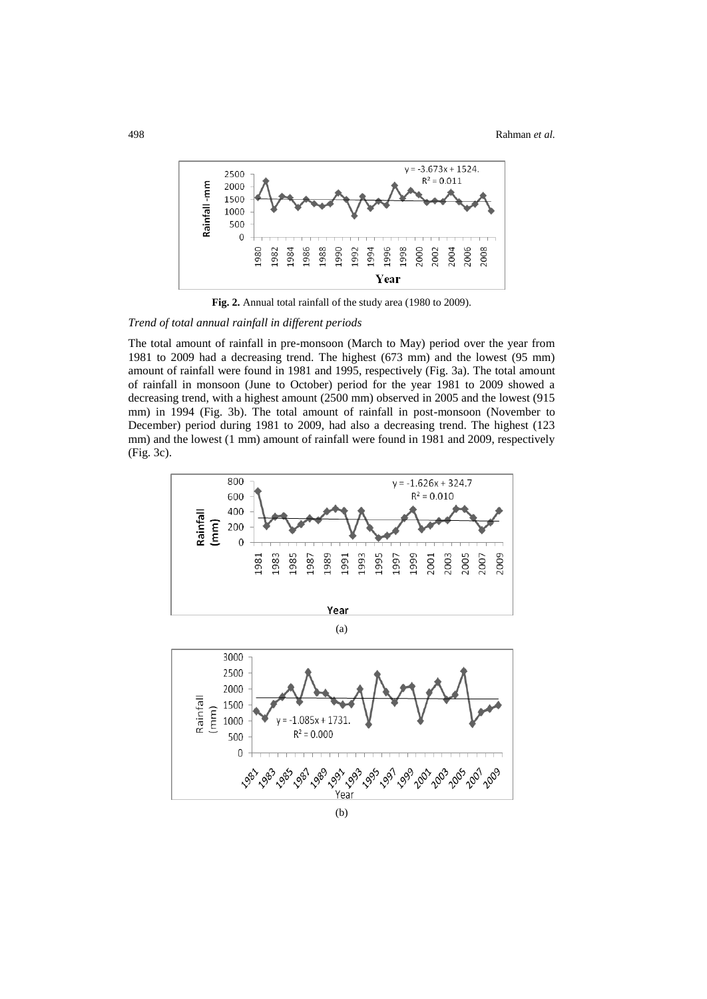

**Fig. 2.** Annual total rainfall of the study area (1980 to 2009).

*Trend of total annual rainfall in different periods*

The total amount of rainfall in pre-monsoon (March to May) period over the year from 1981 to 2009 had a decreasing trend. The highest (673 mm) and the lowest (95 mm) amount of rainfall were found in 1981 and 1995, respectively (Fig. 3a). The total amount of rainfall in monsoon (June to October) period for the year 1981 to 2009 showed a decreasing trend, with a highest amount (2500 mm) observed in 2005 and the lowest (915 mm) in 1994 (Fig. 3b). The total amount of rainfall in post-monsoon (November to December) period during 1981 to 2009, had also a decreasing trend. The highest (123 mm) and the lowest (1 mm) amount of rainfall were found in 1981 and 2009, respectively (Fig. 3c).

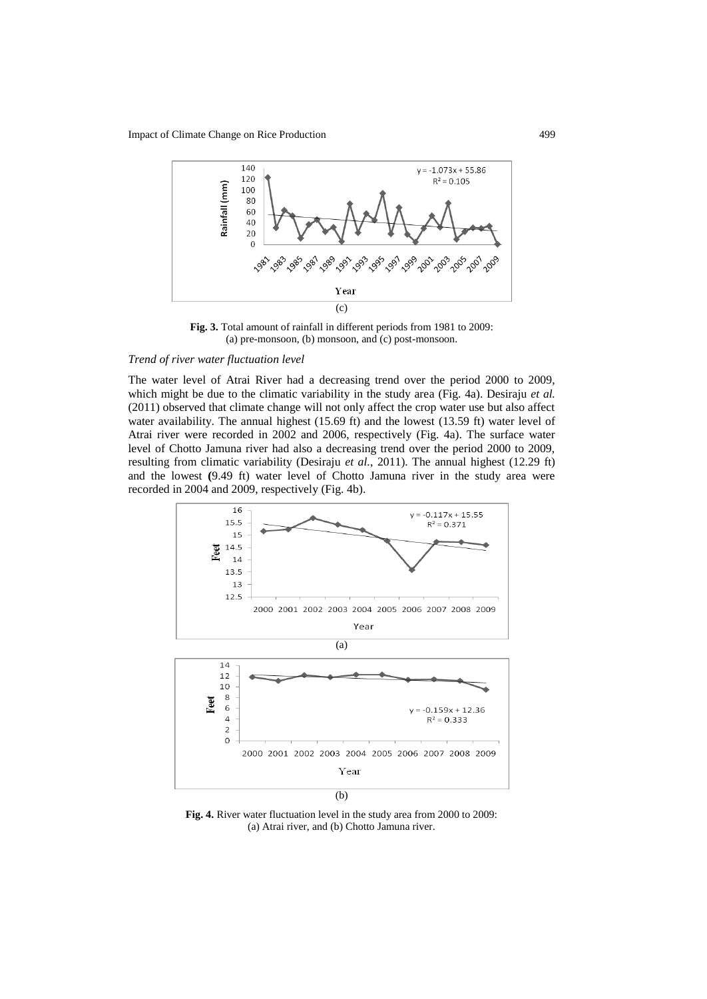

**Fig. 3.** Total amount of rainfall in different periods from 1981 to 2009: (a) pre-monsoon, (b) monsoon, and (c) post-monsoon.

# *Trend of river water fluctuation level*

The water level of Atrai River had a decreasing trend over the period 2000 to 2009, which might be due to the climatic variability in the study area (Fig. 4a). Desiraju *et al.* (2011) observed that climate change will not only affect the crop water use but also affect water availability. The annual highest (15.69 ft) and the lowest (13.59 ft) water level of Atrai river were recorded in 2002 and 2006, respectively (Fig. 4a). The surface water level of Chotto Jamuna river had also a decreasing trend over the period 2000 to 2009, resulting from climatic variability (Desiraju *et al.*, 2011). The annual highest (12.29 ft) and the lowest **(**9.49 ft) water level of Chotto Jamuna river in the study area were recorded in 2004 and 2009, respectively (Fig. 4b).



**Fig. 4.** River water fluctuation level in the study area from 2000 to 2009: (a) Atrai river, and (b) Chotto Jamuna river.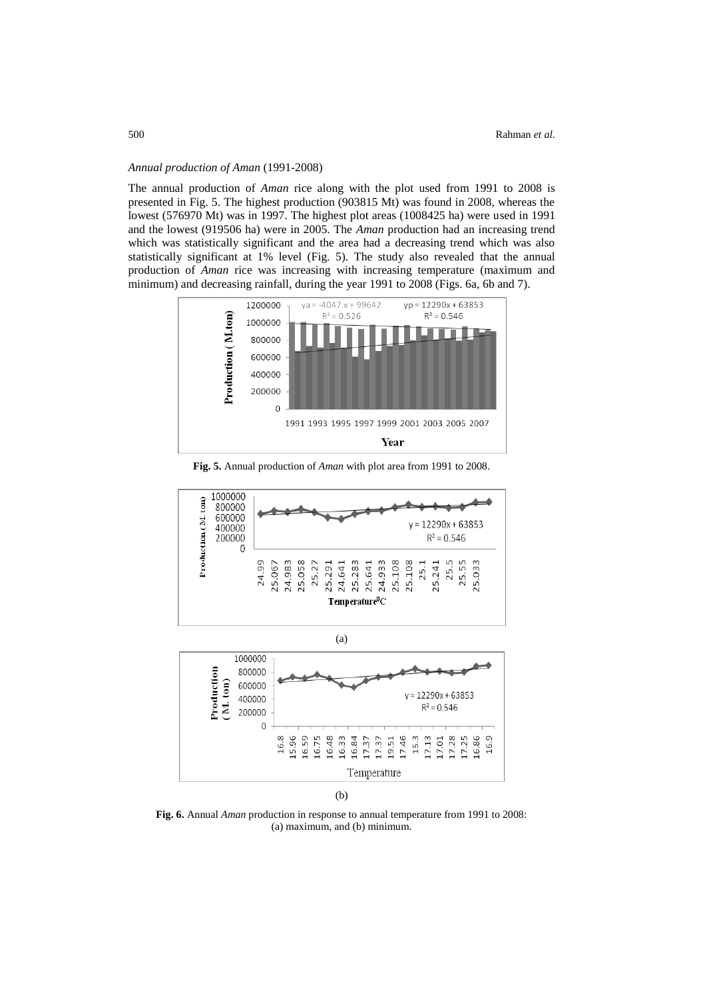# *Annual production of Aman* (1991-2008)

The annual production of *Aman* rice along with the plot used from 1991 to 2008 is presented in Fig. 5. The highest production (903815 Mt) was found in 2008, whereas the lowest (576970 Mt) was in 1997. The highest plot areas (1008425 ha) were used in 1991 and the lowest (919506 ha) were in 2005. The *Aman* production had an increasing trend which was statistically significant and the area had a decreasing trend which was also statistically significant at 1% level (Fig. 5). The study also revealed that the annual production of *Aman* rice was increasing with increasing temperature (maximum and minimum) and decreasing rainfall, during the year 1991 to 2008 (Figs. 6a, 6b and 7).



**Fig. 5.** Annual production of *Aman* with plot area from 1991 to 2008.





(b)

**Fig. 6.** Annual *Aman* production in response to annual temperature from 1991 to 2008: (a) maximum, and (b) minimum.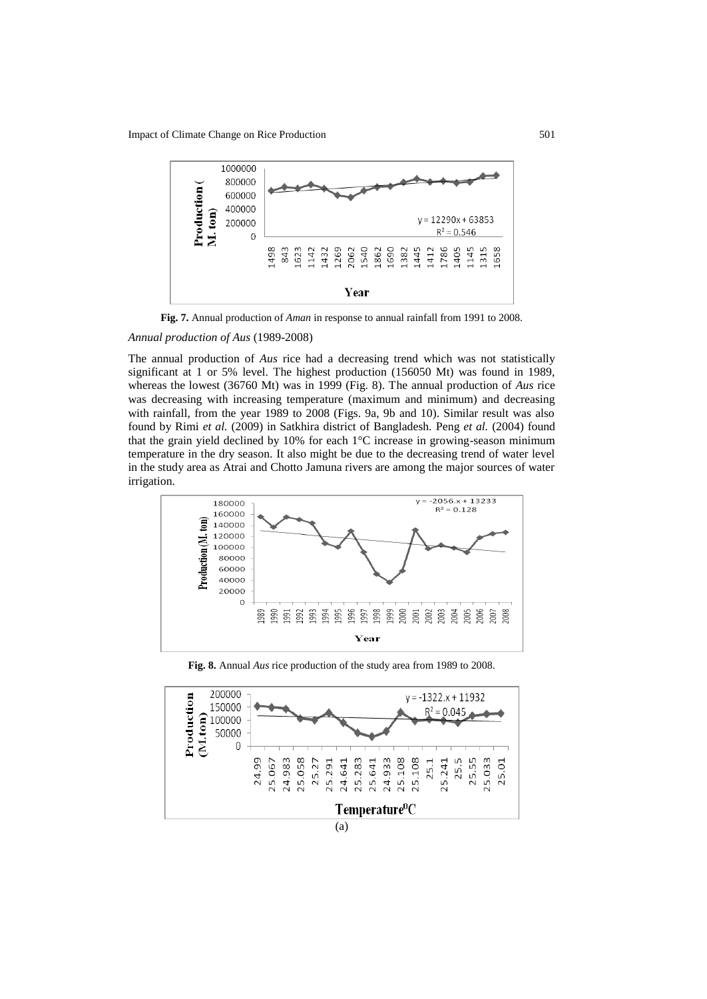

**Fig. 7.** Annual production of *Aman* in response to annual rainfall from 1991 to 2008.

### *Annual production of Aus* (1989-2008)

The annual production of *Aus* rice had a decreasing trend which was not statistically significant at 1 or 5% level. The highest production (156050 Mt) was found in 1989, whereas the lowest (36760 Mt) was in 1999 (Fig. 8). The annual production of *Aus* rice was decreasing with increasing temperature (maximum and minimum) and decreasing with rainfall, from the year 1989 to 2008 (Figs. 9a, 9b and 10). Similar result was also found by Rimi *et al.* (2009) in Satkhira district of Bangladesh. Peng *et al.* (2004) found that the grain yield declined by 10% for each 1°C increase in growing-season minimum temperature in the dry season. It also might be due to the decreasing trend of water level in the study area as Atrai and Chotto Jamuna rivers are among the major sources of water irrigation.



**Fig. 8.** Annual *Aus* rice production of the study area from 1989 to 2008.

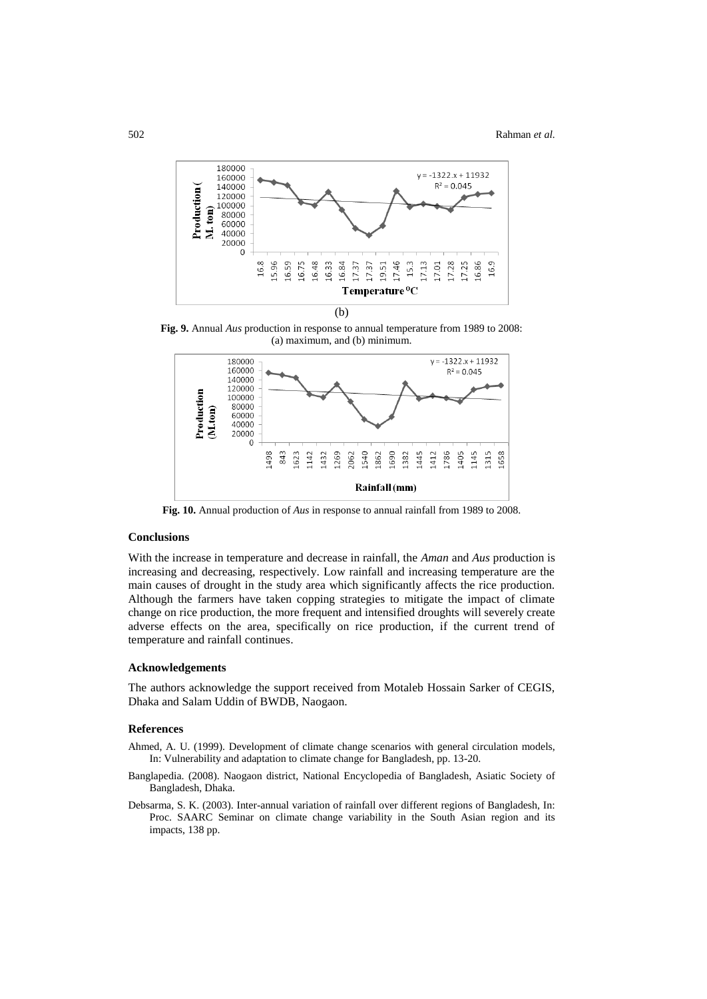

**Fig. 9.** Annual *Aus* production in response to annual temperature from 1989 to 2008: (a) maximum, and (b) minimum.



**Fig. 10.** Annual production of *Aus* in response to annual rainfall from 1989 to 2008.

# **Conclusions**

With the increase in temperature and decrease in rainfall, the *Aman* and *Aus* production is increasing and decreasing, respectively. Low rainfall and increasing temperature are the main causes of drought in the study area which significantly affects the rice production. Although the farmers have taken copping strategies to mitigate the impact of climate change on rice production, the more frequent and intensified droughts will severely create adverse effects on the area, specifically on rice production, if the current trend of temperature and rainfall continues.

### **Acknowledgements**

The authors acknowledge the support received from Motaleb Hossain Sarker of CEGIS, Dhaka and Salam Uddin of BWDB, Naogaon.

### **References**

- Ahmed, A. U. (1999). Development of climate change scenarios with general circulation models, In: Vulnerability and adaptation to climate change for Bangladesh, pp. 13-20.
- Banglapedia. (2008). Naogaon district, National Encyclopedia of Bangladesh, Asiatic Society of Bangladesh, Dhaka.
- Debsarma, S. K. (2003). Inter-annual variation of rainfall over different regions of Bangladesh, In: Proc. SAARC Seminar on climate change variability in the South Asian region and its impacts, 138 pp.